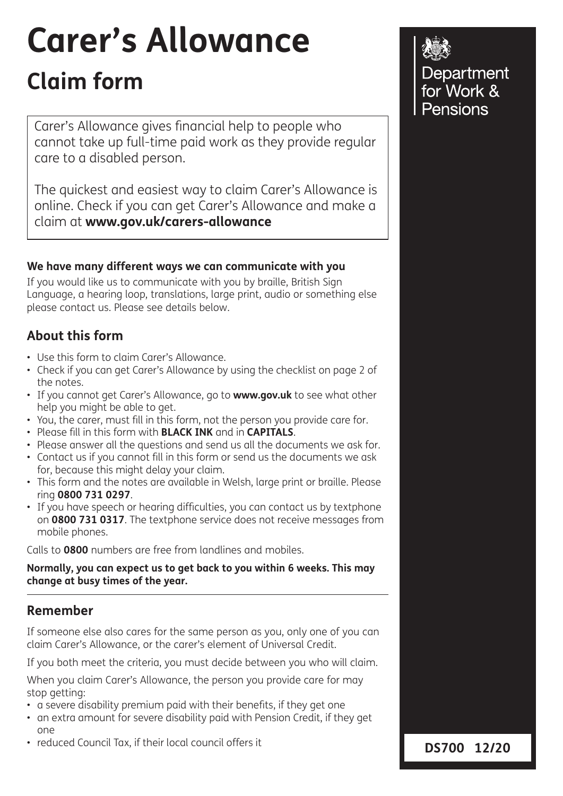# **Carer's Allowance**

# **Claim form**

Carer's Allowance gives financial help to people who cannot take up full-time paid work as they provide regular care to a disabled person.

The quickest and easiest way to claim Carer's Allowance is online. Check if you can get Carer's Allowance and make a claim at **www.gov.uk/carers-allowance**

### **We have many different ways we can communicate with you**

If you would like us to communicate with you by braille, British Sign Language, a hearing loop, translations, large print, audio or something else please contact us. Please see details below.

### **About this form**

- Use this form to claim Carer's Allowance.
- Check if you can get Carer's Allowance by using the checklist on page 2 of the notes.
- If you cannot get Carer's Allowance, go to **www.gov.uk** to see what other help you might be able to get.
- You, the carer, must fill in this form, not the person you provide care for.
- Please fill in this form with **BLACK INK** and in **CAPITALS**.
- Please answer all the questions and send us all the documents we ask for.
- Contact us if you cannot fill in this form or send us the documents we ask for, because this might delay your claim.
- This form and the notes are available in Welsh, large print or braille. Please ring **0800 731 0297**.
- If you have speech or hearing difficulties, you can contact us by textphone on **0800 731 0317**. The textphone service does not receive messages from mobile phones.

Calls to **0800** numbers are free from landlines and mobiles.

### **Normally, you can expect us to get back to you within 6 weeks. This may change at busy times of the year.**

### **Remember**

If someone else also cares for the same person as you, only one of you can claim Carer's Allowance, or the carer's element of Universal Credit.

If you both meet the criteria, you must decide between you who will claim.

When you claim Carer's Allowance, the person you provide care for may stop getting:

- a severe disability premium paid with their benefits, if they get one
- an extra amount for severe disability paid with Pension Credit, if they get one
- reduced Council Tax, if their local council offers it

Department for Work & Pensions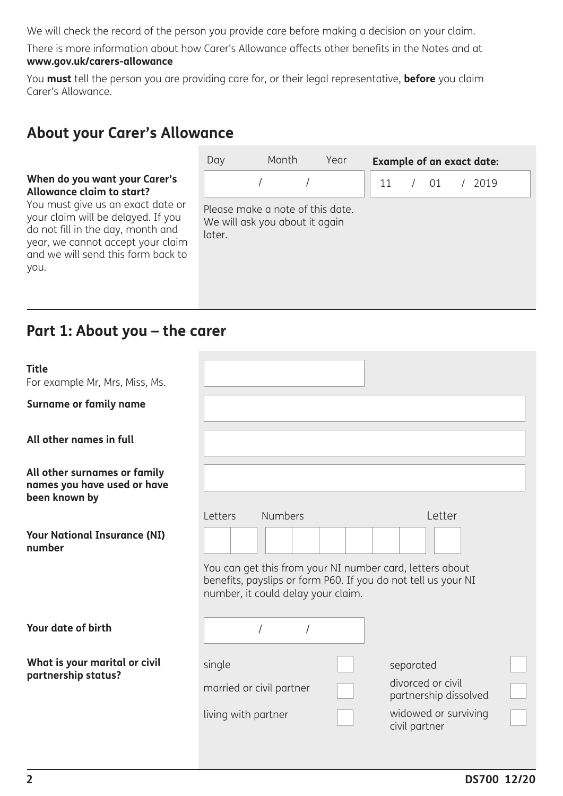We will check the record of the person you provide care before making a decision on your claim.

There is more information about how Carer's Allowance affects other benefits in the Notes and at **www.gov.uk/carers-allowance** 

You **must** tell the person you are providing care for, or their legal representative, **before** you claim Carer's Allowance.

# **About your Carer's Allowance**

### **When do you want your Carer's Allowance claim to start?**

You must give us an exact date or your claim will be delayed. If you do not fill in the day, month and year, we cannot accept your claim and we will send this form back to you.

| Day                                                                          | Month | Year |  |  | <b>Example of an exact date:</b> |  |
|------------------------------------------------------------------------------|-------|------|--|--|----------------------------------|--|
|                                                                              |       |      |  |  | 11 / 01 / 2019                   |  |
| Please make a note of this date.<br>We will ask you about it again<br>later. |       |      |  |  |                                  |  |

### **Part 1: About you – the carer**

| <b>Title</b>                                                                 |                                                                                                |                |  |               |                                                               |  |
|------------------------------------------------------------------------------|------------------------------------------------------------------------------------------------|----------------|--|---------------|---------------------------------------------------------------|--|
| For example Mr, Mrs, Miss, Ms.                                               |                                                                                                |                |  |               |                                                               |  |
| <b>Surname or family name</b>                                                |                                                                                                |                |  |               |                                                               |  |
| All other names in full                                                      |                                                                                                |                |  |               |                                                               |  |
| All other surnames or family<br>names you have used or have<br>been known by |                                                                                                |                |  |               |                                                               |  |
|                                                                              | Letters                                                                                        | <b>Numbers</b> |  |               | Letter                                                        |  |
| <b>Your National Insurance (NI)</b><br>number                                |                                                                                                |                |  |               |                                                               |  |
|                                                                              | You can get this from your NI number card, letters about<br>number, it could delay your claim. |                |  |               | benefits, payslips or form P60. If you do not tell us your NI |  |
| Your date of birth                                                           |                                                                                                |                |  |               |                                                               |  |
| What is your marital or civil<br>partnership status?                         | single                                                                                         |                |  | separated     |                                                               |  |
|                                                                              | married or civil partner                                                                       |                |  |               | divorced or civil<br>partnership dissolved                    |  |
|                                                                              | living with partner                                                                            |                |  | civil partner | widowed or surviving                                          |  |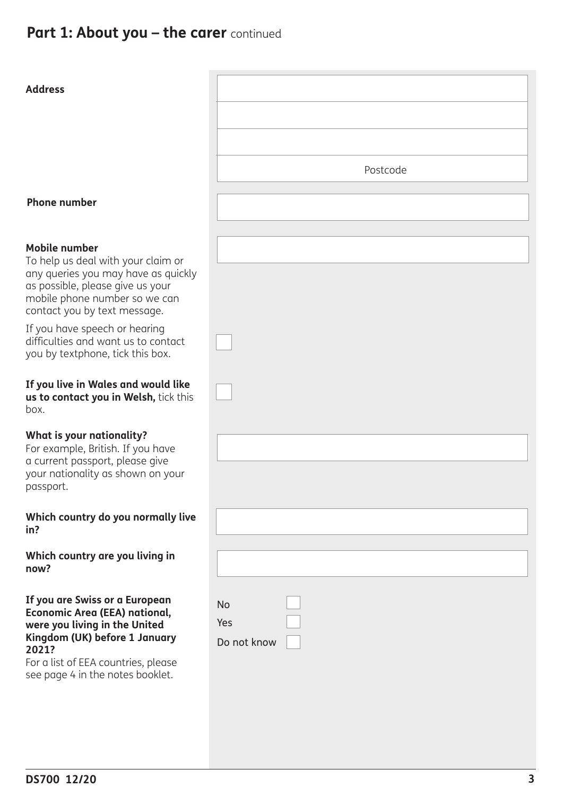| <b>Address</b>                                                                                                                                                                                                               |                                 |
|------------------------------------------------------------------------------------------------------------------------------------------------------------------------------------------------------------------------------|---------------------------------|
|                                                                                                                                                                                                                              | Postcode                        |
| <b>Phone number</b>                                                                                                                                                                                                          |                                 |
| <b>Mobile number</b><br>To help us deal with your claim or<br>any queries you may have as quickly<br>as possible, please give us your<br>mobile phone number so we can<br>contact you by text message.                       |                                 |
| If you have speech or hearing<br>difficulties and want us to contact<br>you by textphone, tick this box.                                                                                                                     |                                 |
| If you live in Wales and would like<br>us to contact you in Welsh, tick this<br>box.                                                                                                                                         |                                 |
| What is your nationality?<br>For example, British. If you have<br>a current passport, please give<br>your nationality as shown on your<br>passport.                                                                          |                                 |
| Which country do you normally live<br>in?                                                                                                                                                                                    |                                 |
| Which country are you living in<br>now?                                                                                                                                                                                      |                                 |
| If you are Swiss or a European<br><b>Economic Area (EEA) national,</b><br>were you living in the United<br>Kingdom (UK) before 1 January<br>2021?<br>For a list of EEA countries, please<br>see page 4 in the notes booklet. | <b>No</b><br>Yes<br>Do not know |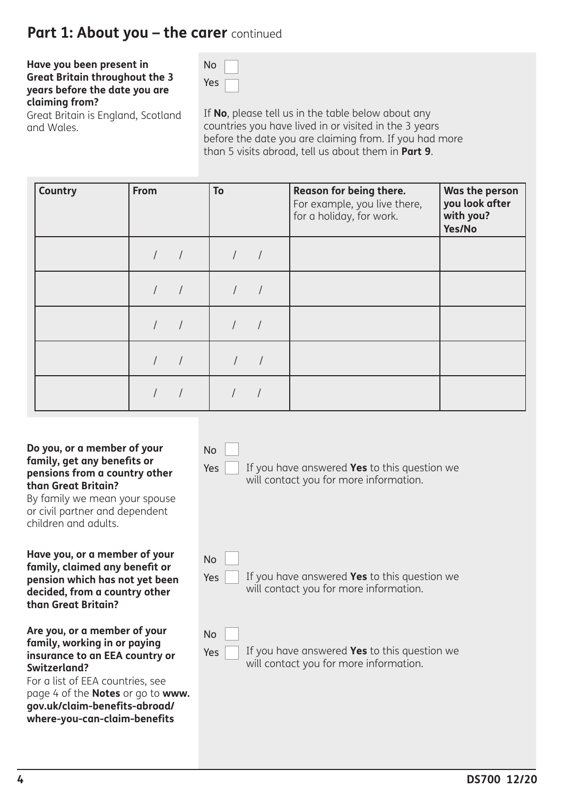### **Part 1: About you - the carer** continued

### **Have you been present in Great Britain throughout the 3 years before the date you are claiming from?**

Great Britain is England, Scotland and Wales.

No Yes

No

Yes

If **No**, please tell us in the table below about any countries you have lived in or visited in the 3 years before the date you are claiming from. If you had more than 5 visits abroad, tell us about them in **Part 9**.

| <b>Country</b> | From | To | Reason for being there.<br>For example, you live there,<br>for a holiday, for work. | Was the person<br>you look after<br>with you?<br>Yes/No |
|----------------|------|----|-------------------------------------------------------------------------------------|---------------------------------------------------------|
|                |      |    |                                                                                     |                                                         |
|                |      |    |                                                                                     |                                                         |
|                |      |    |                                                                                     |                                                         |
|                |      |    |                                                                                     |                                                         |
|                |      |    |                                                                                     |                                                         |

#### **Do you, or a member of your family, get any benefits or pensions from a country other than Great Britain?**

By family we mean your spouse or civil partner and dependent children and adults.

#### **Have you, or a member of your family, claimed any benefit or pension which has not yet been decided, from a country other than Great Britain?**

### **Are you, or a member of your family, working in or paying insurance to an EEA country or Switzerland?**

For a list of EEA countries, see page 4 of the **Notes** or go to **www. gov.uk/claim-benefits-abroad/ where-you-can-claim-benefits** 

If you have answered **Yes** to this question we will contact you for more information. If you have answered **Yes** to this question we will contact you for more information. Yes No Yes No

### If you have answered **Yes** to this question we will contact you for more information.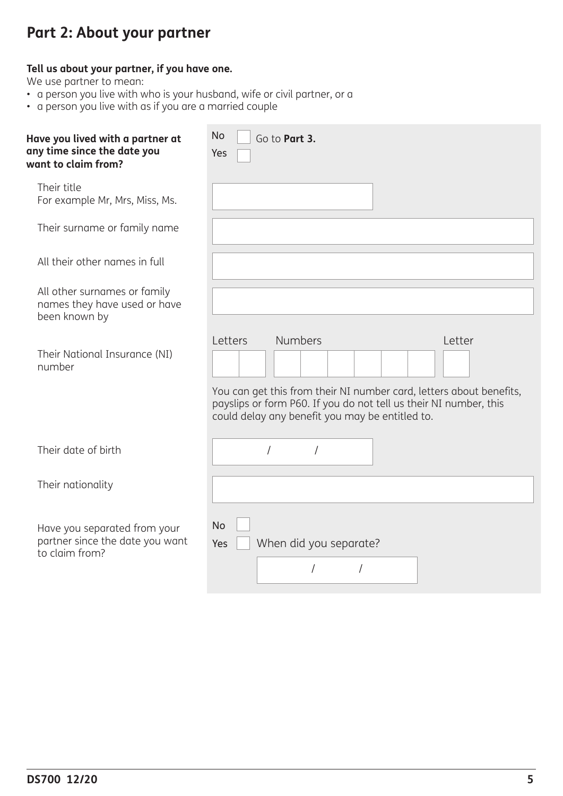# **Part 2: About your partner**

### **Tell us about your partner, if you have one.**

We use partner to mean:

- a person you live with who is your husband, wife or civil partner, or a
- a person you live with as if you are a married couple

| Have you lived with a partner at<br>any time since the date you<br>want to claim from? | <b>No</b><br>Go to Part 3.<br>Yes                                                                                                                                                                                                  |
|----------------------------------------------------------------------------------------|------------------------------------------------------------------------------------------------------------------------------------------------------------------------------------------------------------------------------------|
| Their title<br>For example Mr, Mrs, Miss, Ms.                                          |                                                                                                                                                                                                                                    |
| Their surname or family name                                                           |                                                                                                                                                                                                                                    |
| All their other names in full                                                          |                                                                                                                                                                                                                                    |
| All other surnames or family<br>names they have used or have<br>been known by          |                                                                                                                                                                                                                                    |
| Their National Insurance (NI)<br>number                                                | <b>Numbers</b><br>Letters<br>Letter<br>You can get this from their NI number card, letters about benefits,<br>payslips or form P60. If you do not tell us their NI number, this<br>could delay any benefit you may be entitled to. |
| Their date of birth                                                                    | 1                                                                                                                                                                                                                                  |
| Their nationality                                                                      |                                                                                                                                                                                                                                    |
| Have you separated from your<br>partner since the date you want<br>to claim from?      | No<br>When did you separate?<br>Yes                                                                                                                                                                                                |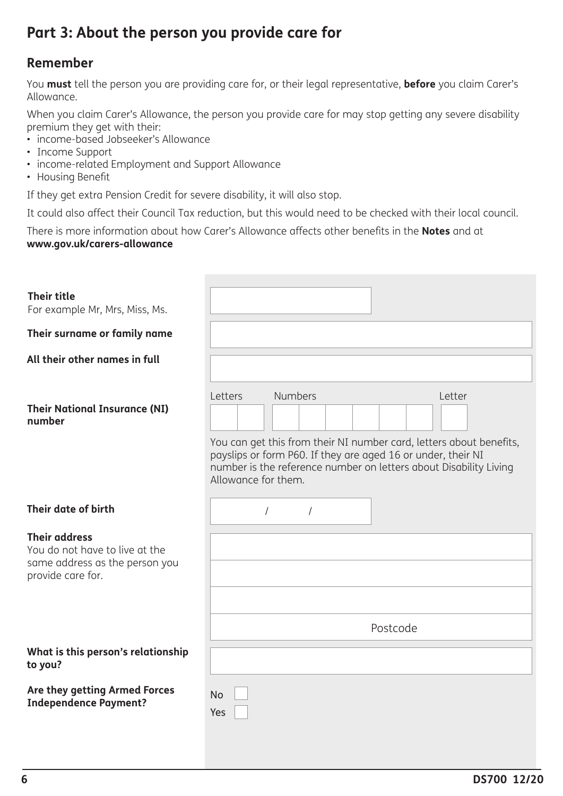# **Part 3: About the person you provide care for**

### **Remember**

You **must** tell the person you are providing care for, or their legal representative, **before** you claim Carer's Allowance.

When you claim Carer's Allowance, the person you provide care for may stop getting any severe disability premium they get with their:

- income-based Jobseeker's Allowance
- Income Support
- income-related Employment and Support Allowance
- Housing Benefit

If they get extra Pension Credit for severe disability, it will also stop.

It could also affect their Council Tax reduction, but this would need to be checked with their local council.

There is more information about how Carer's Allowance affects other benefits in the **Notes** and at **www.gov.uk/carers-allowance**

| <b>Their title</b><br>For example Mr, Mrs, Miss, Ms.                                                          |                                                                                                                                                                                                                                                                        |
|---------------------------------------------------------------------------------------------------------------|------------------------------------------------------------------------------------------------------------------------------------------------------------------------------------------------------------------------------------------------------------------------|
| Their surname or family name                                                                                  |                                                                                                                                                                                                                                                                        |
| All their other names in full                                                                                 |                                                                                                                                                                                                                                                                        |
| <b>Their National Insurance (NI)</b><br>number                                                                | <b>Numbers</b><br>Letters<br>Letter<br>You can get this from their NI number card, letters about benefits,<br>payslips or form P60. If they are aged 16 or under, their NI<br>number is the reference number on letters about Disability Living<br>Allowance for them. |
| Their date of birth                                                                                           | $\prime$<br>$\sqrt{2}$                                                                                                                                                                                                                                                 |
| <b>Their address</b><br>You do not have to live at the<br>same address as the person you<br>provide care for. |                                                                                                                                                                                                                                                                        |
|                                                                                                               |                                                                                                                                                                                                                                                                        |
|                                                                                                               | Postcode                                                                                                                                                                                                                                                               |
| What is this person's relationship<br>to you?                                                                 |                                                                                                                                                                                                                                                                        |
| Are they getting Armed Forces<br><b>Independence Payment?</b>                                                 | <b>No</b><br>Yes                                                                                                                                                                                                                                                       |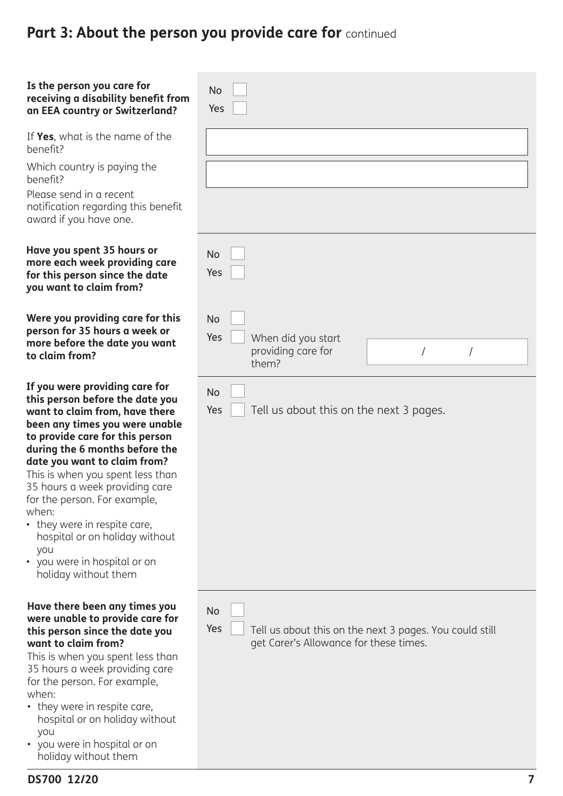### **Is the person you care for receiving a disability benefit from an EEA country or Switzerland?**

If **Yes**, what is the name of the benefit?

Which country is paying the benefit?

Please send in a recent notification regarding this benefit award if you have one.

### **Have you spent 35 hours or more each week providing care for this person since the date you want to claim from?**

**Were you providing care for this person for 35 hours a week or more before the date you want to claim from?** 

**If you were providing care for this person before the date you want to claim from, have there been any times you were unable to provide care for this person during the 6 months before the date you want to claim from?** 

This is when you spent less than 35 hours a week providing care for the person. For example, when:

- they were in respite care, hospital or on holiday without you
- you were in hospital or on holiday without them

#### **Have there been any times you were unable to provide care for this person since the date you want to claim from?**

This is when you spent less than 35 hours a week providing care for the person. For example, when:

- they were in respite care, hospital or on holiday without you
- you were in hospital or on holiday without them

| <b>No</b><br>Yes                                                                                                      |  |
|-----------------------------------------------------------------------------------------------------------------------|--|
|                                                                                                                       |  |
|                                                                                                                       |  |
| <b>No</b><br>Yes                                                                                                      |  |
| <b>No</b><br>Yes<br>When did you start<br>providing care for<br>$\sqrt{\phantom{a}}$<br>$\sqrt{2}$<br>them?           |  |
| <b>No</b><br>Yes<br>Tell us about this on the next 3 pages.                                                           |  |
| <b>No</b><br>Yes<br>Tell us about this on the next 3 pages. You could still<br>get Carer's Allowance for these times. |  |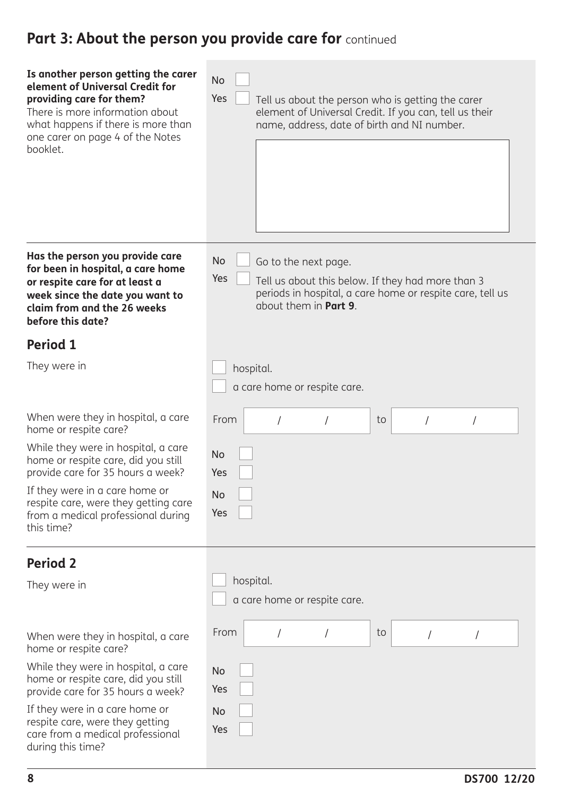| Is another person getting the carer<br>element of Universal Credit for<br>providing care for them?<br>There is more information about<br>what happens if there is more than<br>one carer on page 4 of the Notes<br>booklet. | <b>No</b><br>Yes<br>Tell us about the person who is getting the carer<br>element of Universal Credit. If you can, tell us their<br>name, address, date of birth and NI number.      |
|-----------------------------------------------------------------------------------------------------------------------------------------------------------------------------------------------------------------------------|-------------------------------------------------------------------------------------------------------------------------------------------------------------------------------------|
| Has the person you provide care<br>for been in hospital, a care home<br>or respite care for at least a<br>week since the date you want to<br>claim from and the 26 weeks<br>before this date?                               | <b>No</b><br>Go to the next page.<br>Yes<br>Tell us about this below. If they had more than 3<br>periods in hospital, a care home or respite care, tell us<br>about them in Part 9. |
| <b>Period 1</b>                                                                                                                                                                                                             |                                                                                                                                                                                     |
| They were in                                                                                                                                                                                                                | hospital.<br>a care home or respite care.                                                                                                                                           |
| When were they in hospital, a care<br>home or respite care?                                                                                                                                                                 | From<br>to                                                                                                                                                                          |
| While they were in hospital, a care<br>home or respite care, did you still<br>provide care for 35 hours a week?                                                                                                             | <b>No</b><br>Yes                                                                                                                                                                    |
| If they were in a care home or<br>respite care, were they getting care<br>from a medical professional during<br>this time?                                                                                                  | No<br>Yes                                                                                                                                                                           |
| <b>Period 2</b>                                                                                                                                                                                                             |                                                                                                                                                                                     |
| They were in                                                                                                                                                                                                                | hospital.<br>a care home or respite care.                                                                                                                                           |
| When were they in hospital, a care<br>home or respite care?                                                                                                                                                                 | From<br>to                                                                                                                                                                          |
| While they were in hospital, a care<br>home or respite care, did you still<br>provide care for 35 hours a week?                                                                                                             | <b>No</b><br>Yes                                                                                                                                                                    |
| If they were in a care home or<br>respite care, were they getting<br>care from a medical professional<br>during this time?                                                                                                  | No<br>Yes                                                                                                                                                                           |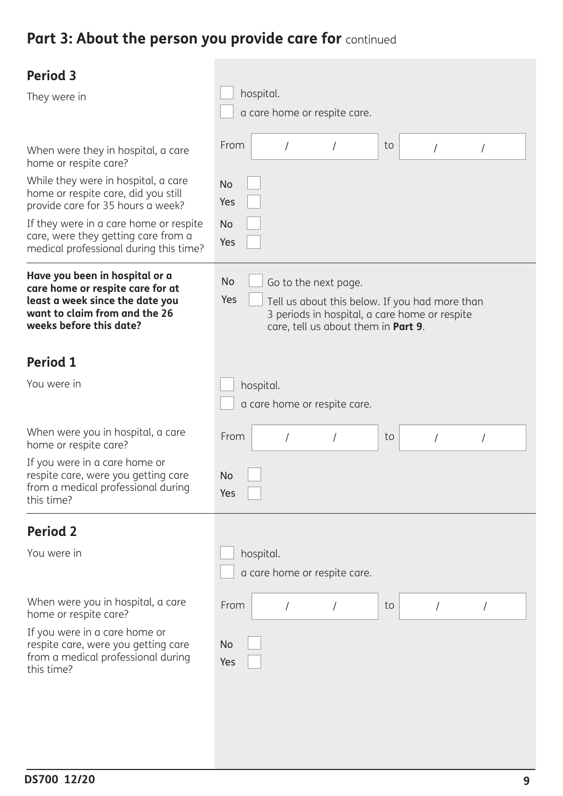| <b>Period 3</b><br>They were in                                                                                                                                                                                                                                                                           | hospital.                                                                                                                                                                   |
|-----------------------------------------------------------------------------------------------------------------------------------------------------------------------------------------------------------------------------------------------------------------------------------------------------------|-----------------------------------------------------------------------------------------------------------------------------------------------------------------------------|
|                                                                                                                                                                                                                                                                                                           | a care home or respite care.                                                                                                                                                |
| When were they in hospital, a care<br>home or respite care?<br>While they were in hospital, a care<br>home or respite care, did you still<br>provide care for 35 hours a week?<br>If they were in a care home or respite<br>care, were they getting care from a<br>medical professional during this time? | From<br>to<br>$\overline{1}$<br><b>No</b><br>Yes<br><b>No</b><br>Yes                                                                                                        |
| Have you been in hospital or a<br>care home or respite care for at<br>least a week since the date you<br>want to claim from and the 26<br>weeks before this date?                                                                                                                                         | No<br>Go to the next page.<br>Yes<br>Tell us about this below. If you had more than<br>3 periods in hospital, a care home or respite<br>care, tell us about them in Part 9. |
| <b>Period 1</b>                                                                                                                                                                                                                                                                                           |                                                                                                                                                                             |
| You were in                                                                                                                                                                                                                                                                                               | hospital.<br>a care home or respite care.                                                                                                                                   |
| When were you in hospital, a care<br>home or respite care?                                                                                                                                                                                                                                                | From<br>to                                                                                                                                                                  |
| If you were in a care home or<br>respite care, were you getting care<br>from a medical professional during<br>this time?                                                                                                                                                                                  | <b>No</b><br>Yes                                                                                                                                                            |
| <b>Period 2</b>                                                                                                                                                                                                                                                                                           |                                                                                                                                                                             |
| You were in                                                                                                                                                                                                                                                                                               | hospital.<br>a care home or respite care.                                                                                                                                   |
| When were you in hospital, a care<br>home or respite care?                                                                                                                                                                                                                                                | From<br>to<br>$\sqrt{2}$<br>$\sqrt{2}$                                                                                                                                      |
| If you were in a care home or<br>respite care, were you getting care<br>from a medical professional during<br>this time?                                                                                                                                                                                  | No<br>Yes                                                                                                                                                                   |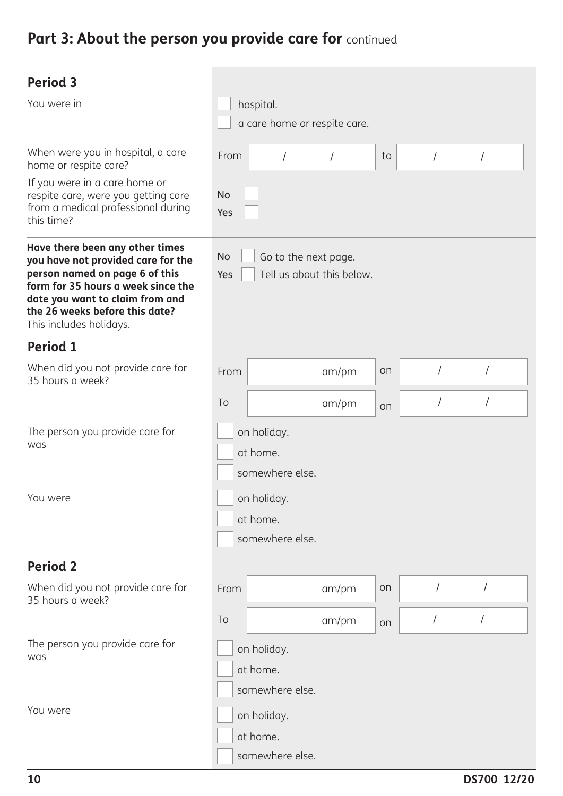| <b>Period 3</b><br>You were in<br>When were you in hospital, a care                                                                                                                                                                           | From             | hospital.<br>a care home or respite care.<br>$\overline{1}$ |            | to | $\sqrt{ }$ |            |  |
|-----------------------------------------------------------------------------------------------------------------------------------------------------------------------------------------------------------------------------------------------|------------------|-------------------------------------------------------------|------------|----|------------|------------|--|
| home or respite care?<br>If you were in a care home or<br>respite care, were you getting care<br>from a medical professional during<br>this time?                                                                                             | <b>No</b><br>Yes |                                                             | $\sqrt{2}$ |    |            | /          |  |
| Have there been any other times<br>you have not provided care for the<br>person named on page 6 of this<br>form for 35 hours a week since the<br>date you want to claim from and<br>the 26 weeks before this date?<br>This includes holidays. | <b>No</b><br>Yes | Go to the next page.<br>Tell us about this below.           |            |    |            |            |  |
| <b>Period 1</b>                                                                                                                                                                                                                               |                  |                                                             |            |    |            |            |  |
| When did you not provide care for<br>35 hours a week?                                                                                                                                                                                         | From             |                                                             | am/pm      | on | $\sqrt{2}$ | $\sqrt{2}$ |  |
|                                                                                                                                                                                                                                               | To               |                                                             | am/pm      | on | $\sqrt{2}$ |            |  |
| The person you provide care for<br>was                                                                                                                                                                                                        |                  | on holiday.<br>at home.<br>somewhere else.                  |            |    |            |            |  |
| You were                                                                                                                                                                                                                                      |                  | on holiday.<br>at home.<br>somewhere else.                  |            |    |            |            |  |
| <b>Period 2</b>                                                                                                                                                                                                                               |                  |                                                             |            |    |            |            |  |
| When did you not provide care for<br>35 hours a week?                                                                                                                                                                                         | From             |                                                             | am/pm      | on |            |            |  |
|                                                                                                                                                                                                                                               | To               |                                                             | am/pm      | on | $\sqrt{2}$ | $\prime$   |  |
| The person you provide care for<br>was                                                                                                                                                                                                        |                  | on holiday.<br>at home.<br>somewhere else.                  |            |    |            |            |  |
| You were                                                                                                                                                                                                                                      |                  | on holiday.<br>at home.<br>somewhere else.                  |            |    |            |            |  |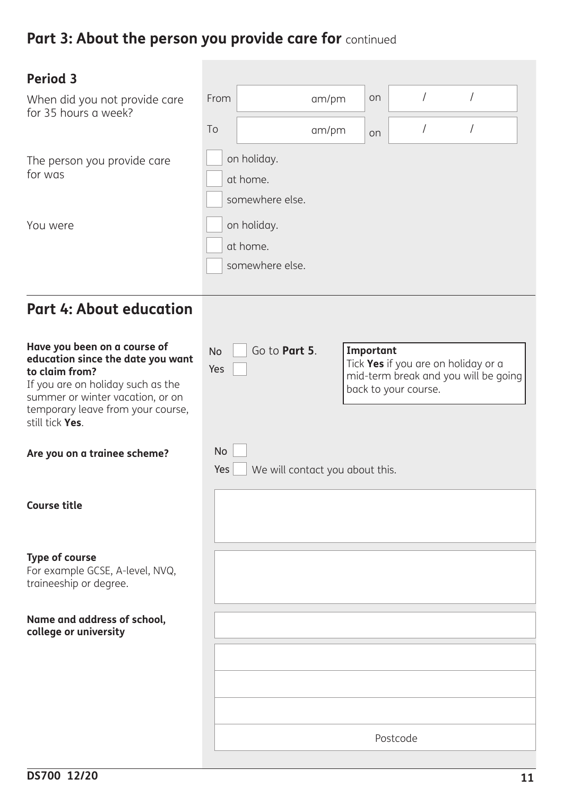| <b>Period 3</b>                                                                                                                                                                                                      |                         |                                 |           |                                                                                                     |          |  |
|----------------------------------------------------------------------------------------------------------------------------------------------------------------------------------------------------------------------|-------------------------|---------------------------------|-----------|-----------------------------------------------------------------------------------------------------|----------|--|
| When did you not provide care<br>for 35 hours a week?                                                                                                                                                                | From                    | am/pm                           | on        | $\sqrt{2}$                                                                                          | $\prime$ |  |
|                                                                                                                                                                                                                      | To                      | am/pm                           | on        | $\sqrt{2}$                                                                                          |          |  |
| The person you provide care<br>for was                                                                                                                                                                               | on holiday.<br>at home. | somewhere else.                 |           |                                                                                                     |          |  |
| You were                                                                                                                                                                                                             | on holiday.<br>at home. | somewhere else.                 |           |                                                                                                     |          |  |
| <b>Part 4: About education</b>                                                                                                                                                                                       |                         |                                 |           |                                                                                                     |          |  |
| Have you been on a course of<br>education since the date you want<br>to claim from?<br>If you are on holiday such as the<br>summer or winter vacation, or on<br>temporary leave from your course,<br>still tick Yes. | <b>No</b><br>Yes        | Go to Part 5.                   | Important | Tick Yes if you are on holiday or a<br>mid-term break and you will be going<br>back to your course. |          |  |
| Are you on a trainee scheme?                                                                                                                                                                                         | <b>No</b><br>Yes        | We will contact you about this. |           |                                                                                                     |          |  |
| <b>Course title</b>                                                                                                                                                                                                  |                         |                                 |           |                                                                                                     |          |  |
| <b>Type of course</b><br>For example GCSE, A-level, NVQ,<br>traineeship or degree.                                                                                                                                   |                         |                                 |           |                                                                                                     |          |  |
| Name and address of school,<br>college or university                                                                                                                                                                 |                         |                                 |           |                                                                                                     |          |  |
|                                                                                                                                                                                                                      |                         |                                 |           |                                                                                                     |          |  |
|                                                                                                                                                                                                                      |                         |                                 |           |                                                                                                     |          |  |
|                                                                                                                                                                                                                      |                         |                                 |           | Postcode                                                                                            |          |  |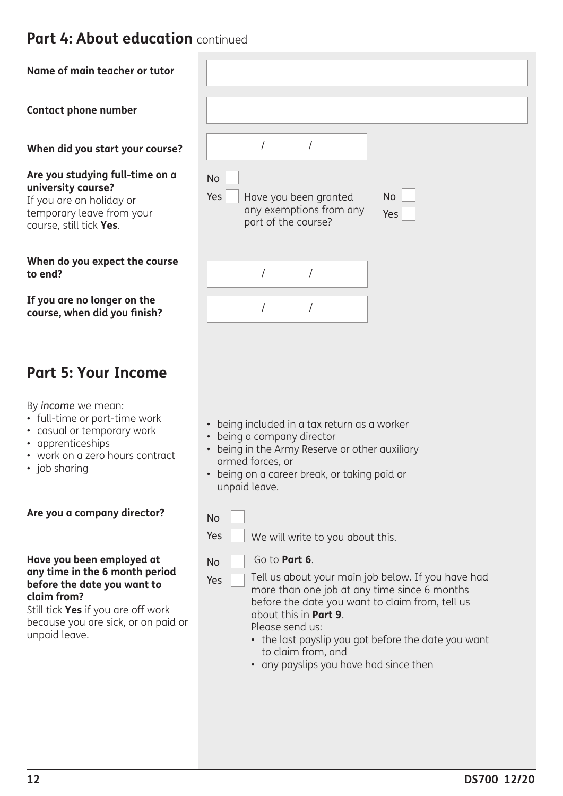# **Part 4: About education** continued

| Name of main teacher or tutor                                                                                                             |                                                                                             |                  |
|-------------------------------------------------------------------------------------------------------------------------------------------|---------------------------------------------------------------------------------------------|------------------|
| <b>Contact phone number</b>                                                                                                               |                                                                                             |                  |
| When did you start your course?                                                                                                           |                                                                                             |                  |
| Are you studying full-time on a<br>university course?<br>If you are on holiday or<br>temporary leave from your<br>course, still tick Yes. | <b>No</b><br>Yes<br>Have you been granted<br>any exemptions from any<br>part of the course? | <b>No</b><br>Yes |
| When do you expect the course<br>to end?                                                                                                  |                                                                                             |                  |
| If you are no longer on the<br>course, when did you finish?                                                                               |                                                                                             |                  |

# **Part 5: Your Income**

By *income* we mean:

- full-time or part-time work
- casual or temporary work
- apprenticeships
- work on a zero hours contract
- job sharing

### **Are you a company director?**

#### **Have you been employed at any time in the 6 month period before the date you want to claim from?**

Still tick **Yes** if you are off work because you are sick, or on paid or unpaid leave.

- being included in a tax return as a worker
- being a company director
- being in the Army Reserve or other auxiliary armed forces, or
- being on a career break, or taking paid or unpaid leave.

No

Yes

Yes We will write to you about this.

| N٥ |  |
|----|--|
|    |  |

Go to **Part 6**.

Tell us about your main job below. If you have had more than one job at any time since 6 months before the date you want to claim from, tell us about this in **Part 9**.

Please send us:

- the last payslip you got before the date you want to claim from, and
- any payslips you have had since then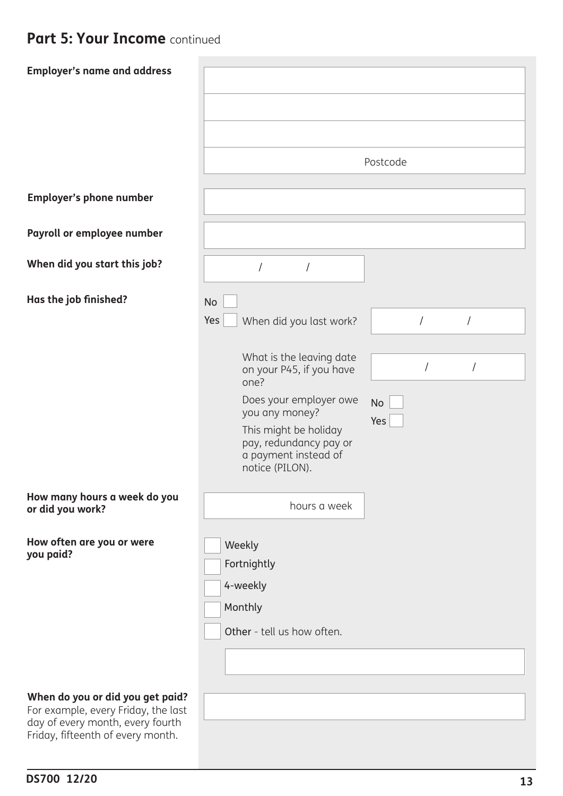# **Part 5: Your Income** continued

| <b>Employer's name and address</b>                                                                          | Postcode                                                                                                                                                                                                                                                                                                                      |
|-------------------------------------------------------------------------------------------------------------|-------------------------------------------------------------------------------------------------------------------------------------------------------------------------------------------------------------------------------------------------------------------------------------------------------------------------------|
| <b>Employer's phone number</b>                                                                              |                                                                                                                                                                                                                                                                                                                               |
| Payroll or employee number                                                                                  |                                                                                                                                                                                                                                                                                                                               |
| When did you start this job?                                                                                |                                                                                                                                                                                                                                                                                                                               |
| Has the job finished?                                                                                       | <b>No</b><br>Yes<br>$\sqrt{ }$<br>When did you last work?<br>$\prime$<br>What is the leaving date<br>$\prime$<br>$\sqrt{2}$<br>on your P45, if you have<br>one?<br>Does your employer owe<br><b>No</b><br>you any money?<br>Yes<br>This might be holiday<br>pay, redundancy pay or<br>a payment instead of<br>notice (PILON). |
| How many hours a week do you<br>or did you work?                                                            | hours a week                                                                                                                                                                                                                                                                                                                  |
| How often are you or were<br>you paid?                                                                      | Weekly<br>Fortnightly<br>4-weekly<br>Monthly<br>Other - tell us how often.                                                                                                                                                                                                                                                    |
| When do you or did you get paid?<br>For example, every Friday, the last<br>day of every month, every fourth |                                                                                                                                                                                                                                                                                                                               |

**DS700 12/20** 

Friday, fifteenth of every month.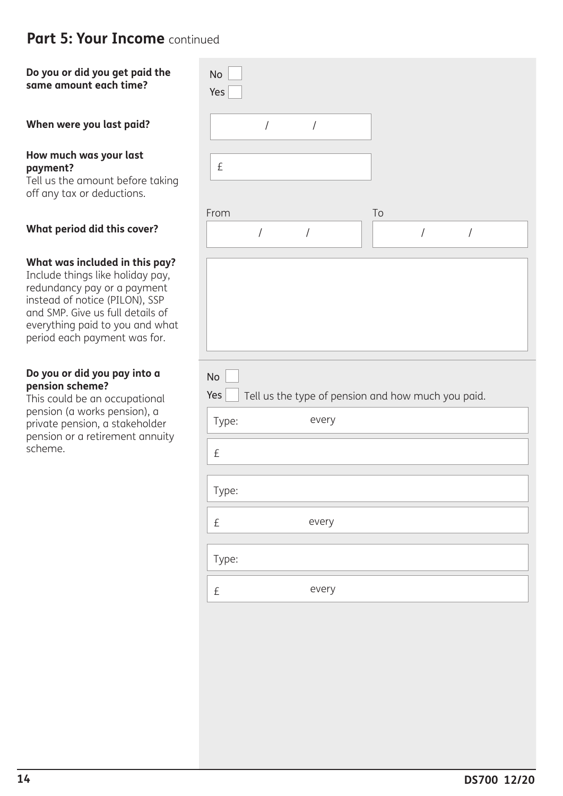# **Part 5: Your Income** continued

### **Do you or did you get paid the same amount each time?**

### **When were you last paid?**

#### **How much was your last payment?**

Tell us the amount before taking off any tax or deductions.

### **What period did this cover?**

#### **What was included in this pay?**

Include things like holiday pay, redundancy pay or a payment instead of notice (PILON), SSP and SMP. Give us full details of everything paid to you and what period each payment was for.

#### **Do you or did you pay into a pension scheme?**

This could be an occupational pension (a works pension), a private pension, a stakeholder pension or a retirement annuity scheme.

| $\operatorname{\mathsf{No}}$<br>Yes |                                                    |    |                      |                      |  |
|-------------------------------------|----------------------------------------------------|----|----------------------|----------------------|--|
| $\sqrt{\phantom{a}}$                | $\sqrt{\phantom{a}}$                               |    |                      |                      |  |
| £                                   |                                                    |    |                      |                      |  |
| From                                |                                                    | To |                      |                      |  |
| $\sqrt{\phantom{a}}$                | $\sqrt{\phantom{a}}$                               |    | $\sqrt{\phantom{a}}$ | $\sqrt{\phantom{a}}$ |  |
|                                     |                                                    |    |                      |                      |  |
| No<br>Yes                           | Tell us the type of pension and how much you paid. |    |                      |                      |  |
| Type:                               | every                                              |    |                      |                      |  |
| £                                   |                                                    |    |                      |                      |  |
| Type:                               |                                                    |    |                      |                      |  |
| $\pounds$                           | every                                              |    |                      |                      |  |
| Type:                               |                                                    |    |                      |                      |  |
| $\pounds$                           | every                                              |    |                      |                      |  |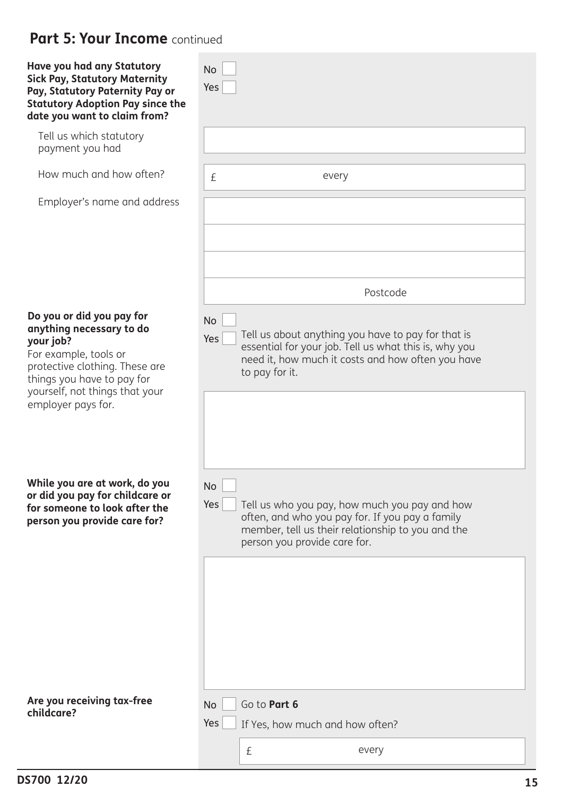# **Part 5: Your Income** continued

| Have you had any Statutory<br><b>Sick Pay, Statutory Maternity</b><br>Pay, Statutory Paternity Pay or<br><b>Statutory Adoption Pay since the</b><br>date you want to claim from?                                    | <b>No</b><br>Yes                                                                                                                                                                                          |
|---------------------------------------------------------------------------------------------------------------------------------------------------------------------------------------------------------------------|-----------------------------------------------------------------------------------------------------------------------------------------------------------------------------------------------------------|
| Tell us which statutory<br>payment you had                                                                                                                                                                          |                                                                                                                                                                                                           |
| How much and how often?                                                                                                                                                                                             | £<br>every                                                                                                                                                                                                |
| Employer's name and address                                                                                                                                                                                         |                                                                                                                                                                                                           |
|                                                                                                                                                                                                                     | Postcode                                                                                                                                                                                                  |
| Do you or did you pay for<br>anything necessary to do<br>your job?<br>For example, tools or<br>protective clothing. These are<br>things you have to pay for<br>yourself, not things that your<br>employer pays for. | <b>No</b><br>Tell us about anything you have to pay for that is<br>Yes<br>essential for your job. Tell us what this is, why you<br>need it, how much it costs and how often you have<br>to pay for it.    |
| While you are at work, do you<br>or did you pay for childcare or<br>for someone to look after the<br>person you provide care for?                                                                                   | <b>No</b><br>Yes<br>Tell us who you pay, how much you pay and how<br>often, and who you pay for. If you pay a family<br>member, tell us their relationship to you and the<br>person you provide care for. |
| Are you receiving tax-free<br>childcare?                                                                                                                                                                            | Go to Part 6<br><b>No</b>                                                                                                                                                                                 |
|                                                                                                                                                                                                                     | Yes<br>If Yes, how much and how often?                                                                                                                                                                    |
|                                                                                                                                                                                                                     | $\pounds$<br>every                                                                                                                                                                                        |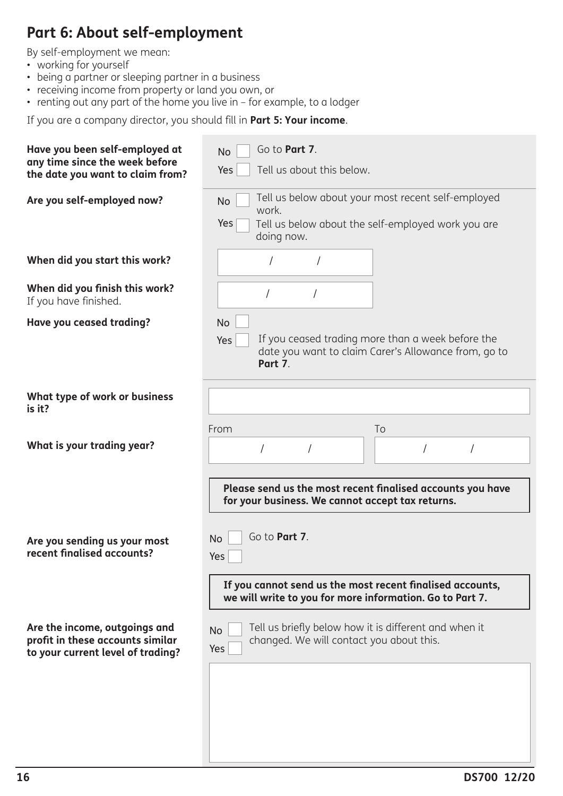# **Part 6: About self-employment**

By self-employment we mean:

- working for yourself
- being a partner or sleeping partner in a business
- receiving income from property or land you own, or
- renting out any part of the home you live in for example, to a lodger

If you are a company director, you should fill in **Part 5: Your income**.

| Have you been self-employed at<br>any time since the week before<br>Yes<br>the date you want to claim from?                | Go to Part 7.<br><b>No</b><br>Tell us about this below.                                                                         |  |  |  |  |  |
|----------------------------------------------------------------------------------------------------------------------------|---------------------------------------------------------------------------------------------------------------------------------|--|--|--|--|--|
| Are you self-employed now?<br><b>No</b><br>Yes                                                                             | Tell us below about your most recent self-employed<br>work.<br>Tell us below about the self-employed work you are<br>doing now. |  |  |  |  |  |
| When did you start this work?                                                                                              |                                                                                                                                 |  |  |  |  |  |
| When did you finish this work?<br>If you have finished.                                                                    |                                                                                                                                 |  |  |  |  |  |
| Have you ceased trading?<br><b>No</b><br>Yes                                                                               | If you ceased trading more than a week before the<br>date you want to claim Carer's Allowance from, go to<br>Part 7.            |  |  |  |  |  |
| What type of work or business<br>is it?                                                                                    |                                                                                                                                 |  |  |  |  |  |
| From<br>What is your trading year?                                                                                         | To                                                                                                                              |  |  |  |  |  |
|                                                                                                                            | Please send us the most recent finalised accounts you have<br>for your business. We cannot accept tax returns.                  |  |  |  |  |  |
| <b>No</b><br>Are you sending us your most<br>recent finalised accounts?<br>Yes                                             | Go to Part 7.                                                                                                                   |  |  |  |  |  |
|                                                                                                                            | If you cannot send us the most recent finalised accounts,<br>we will write to you for more information. Go to Part 7.           |  |  |  |  |  |
| Are the income, outgoings and<br><b>No</b><br>profit in these accounts similar<br>Yes<br>to your current level of trading? | Tell us briefly below how it is different and when it<br>changed. We will contact you about this.                               |  |  |  |  |  |
|                                                                                                                            |                                                                                                                                 |  |  |  |  |  |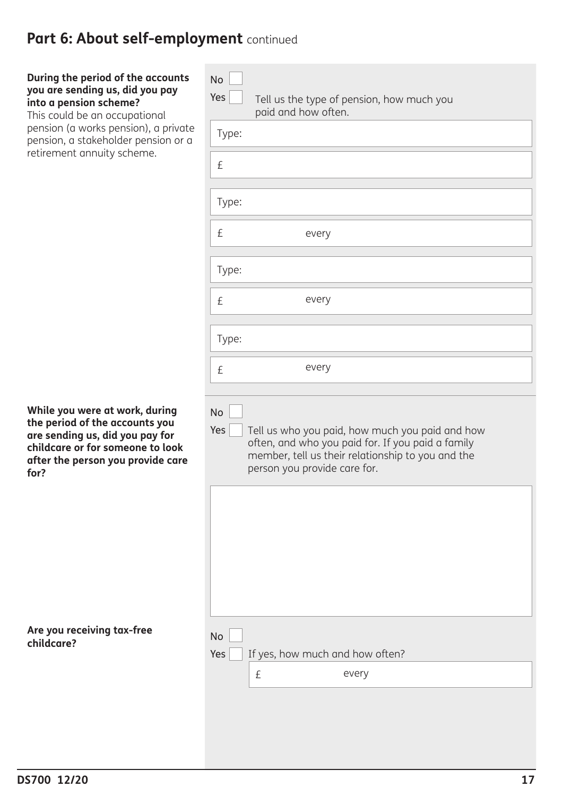# Part 6: About self-employment continued

### **During the period of the account you are sending us, did you pay into a pension scheme?**

This could be an occupational pension (a works pension), a privat pension, a stakeholder pension or retirement annuity scheme.

**While you were at work, during the period of the accounts you are sending us, did you pay for childcare or for someone to look after the person you provide care for?** 

**Are you receiving tax-free childcare?** 

| <b>No</b><br>Yes | Tell us the type of pension, how much you<br>paid and how often.                                                                                                                          |
|------------------|-------------------------------------------------------------------------------------------------------------------------------------------------------------------------------------------|
| Type:            |                                                                                                                                                                                           |
| £                |                                                                                                                                                                                           |
| Type:            |                                                                                                                                                                                           |
| £                | every                                                                                                                                                                                     |
| Type:            |                                                                                                                                                                                           |
| £                | every                                                                                                                                                                                     |
| Type:            |                                                                                                                                                                                           |
| £                | every                                                                                                                                                                                     |
| Yes              | Tell us who you paid, how much you paid and how<br>often, and who you paid for. If you paid a family<br>member, tell us their relationship to you and the<br>person you provide care for. |
| <b>No</b><br>Yes | If yes, how much and how often?<br>every<br>£                                                                                                                                             |
|                  |                                                                                                                                                                                           |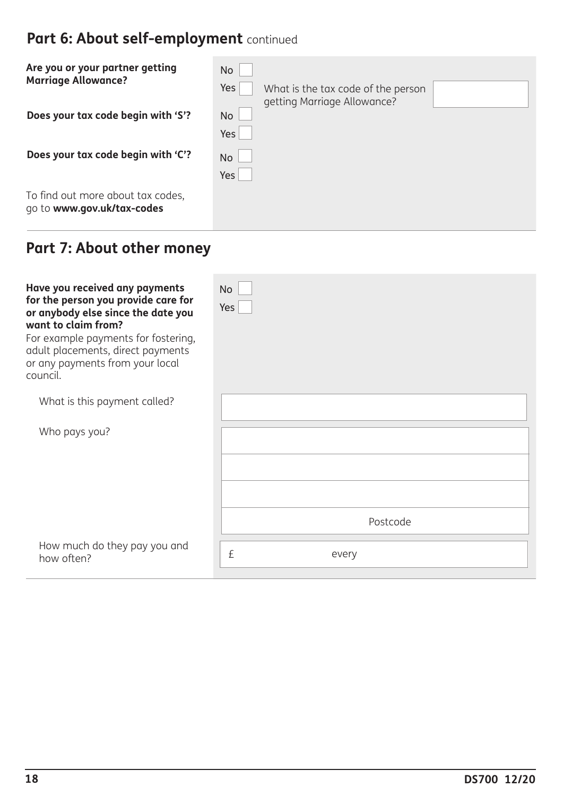# Part 6: About self-employment continued

| Are you or your partner getting<br><b>Marriage Allowance?</b>   | <b>No</b><br>Yes<br>What is the tax code of the person |
|-----------------------------------------------------------------|--------------------------------------------------------|
| Does your tax code begin with 'S'?                              | getting Marriage Allowance?<br><b>No</b><br>Yes        |
| Does your tax code begin with 'C'?                              | No<br>Yes                                              |
| To find out more about tax codes,<br>go to www.gov.uk/tax-codes |                                                        |

# **Part 7: About other money**

| Have you received any payments<br>for the person you provide care for<br>or anybody else since the date you<br>want to claim from?<br>For example payments for fostering,<br>adult placements, direct payments<br>or any payments from your local<br>council. | <b>No</b><br>Yes |
|---------------------------------------------------------------------------------------------------------------------------------------------------------------------------------------------------------------------------------------------------------------|------------------|
| What is this payment called?                                                                                                                                                                                                                                  |                  |
| Who pays you?                                                                                                                                                                                                                                                 |                  |
|                                                                                                                                                                                                                                                               | Postcode         |
| How much do they pay you and<br>how often?                                                                                                                                                                                                                    | £<br>every       |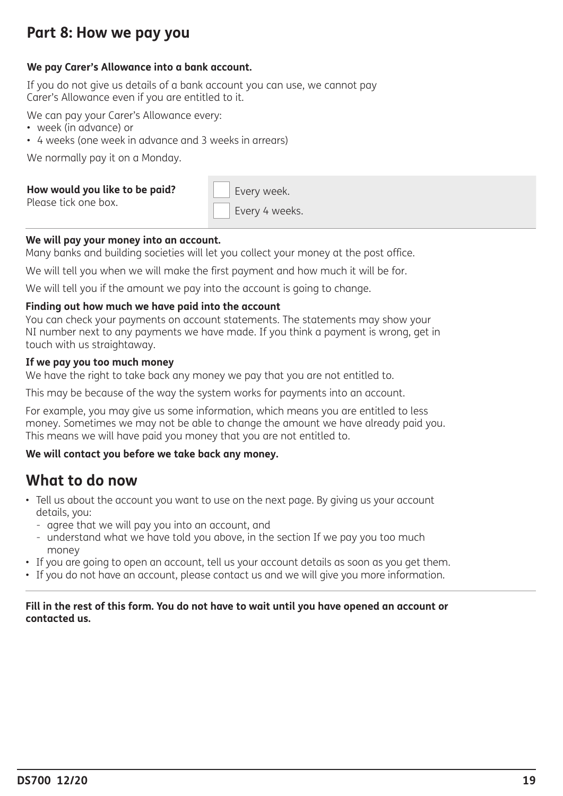# **Part 8: How we pay you**

### **We pay Carer's Allowance into a bank account.**

If you do not give us details of a bank account you can use, we cannot pay Carer's Allowance even if you are entitled to it.

We can pay your Carer's Allowance every:

- week (in advance) or
- 4 weeks (one week in advance and 3 weeks in arrears)

We normally pay it on a Monday.

### **How would you like to be paid?**

Please tick one box.

Every week. Every 4 weeks.

### **We will pay your money into an account.**

Many banks and building societies will let you collect your money at the post office.

We will tell you when we will make the first payment and how much it will be for.

We will tell you if the amount we pay into the account is going to change.

### **Finding out how much we have paid into the account**

You can check your payments on account statements. The statements may show your NI number next to any payments we have made. If you think a payment is wrong, get in touch with us straightaway.

### **If we pay you too much money**

We have the right to take back any money we pay that you are not entitled to.

This may be because of the way the system works for payments into an account.

For example, you may give us some information, which means you are entitled to less money. Sometimes we may not be able to change the amount we have already paid you. This means we will have paid you money that you are not entitled to.

### **We will contact you before we take back any money.**

### **What to do now**

- Tell us about the account you want to use on the next page. By giving us your account details, you:
	- agree that we will pay you into an account, and
	- understand what we have told you above, in the section If we pay you too much money
- If you are going to open an account, tell us your account details as soon as you get them.
- If you do not have an account, please contact us and we will give you more information.

### **Fill in the rest of this form. You do not have to wait until you have opened an account or contacted us.**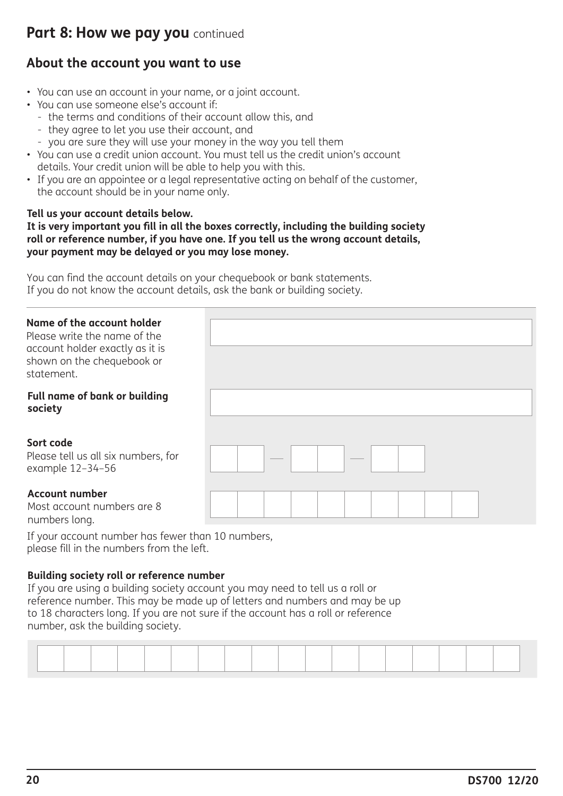# **Part 8: How we pay you** continued

### **About the account you want to use**

- You can use an account in your name, or a joint account.
- You can use someone else's account if:
	- the terms and conditions of their account allow this, and
	- they agree to let you use their account, and
	- you are sure they will use your money in the way you tell them
- You can use a credit union account. You must tell us the credit union's account details. Your credit union will be able to help you with this.
- If you are an appointee or a legal representative acting on behalf of the customer, the account should be in your name only.

### **Tell us your account details below.**

**It is very important you fill in all the boxes correctly, including the building society roll or reference number, if you have one. If you tell us the wrong account details, your payment may be delayed or you may lose money.** 

You can find the account details on your chequebook or bank statements. If you do not know the account details, ask the bank or building society.

### **Name of the account holder**

Please write the name of the account holder exactly as it is shown on the chequebook or statement.

### **Full name of bank or building society**

### **Sort code**

Please tell us all six numbers, for example 12–34–56

### **Account number**

Most account numbers are 8 numbers long.

If your account number has fewer than 10 numbers, please fill in the numbers from the left.

### **Building society roll or reference number**

If you are using a building society account you may need to tell us a roll or reference number. This may be made up of letters and numbers and may be up to 18 characters long. If you are not sure if the account has a roll or reference number, ask the building society.

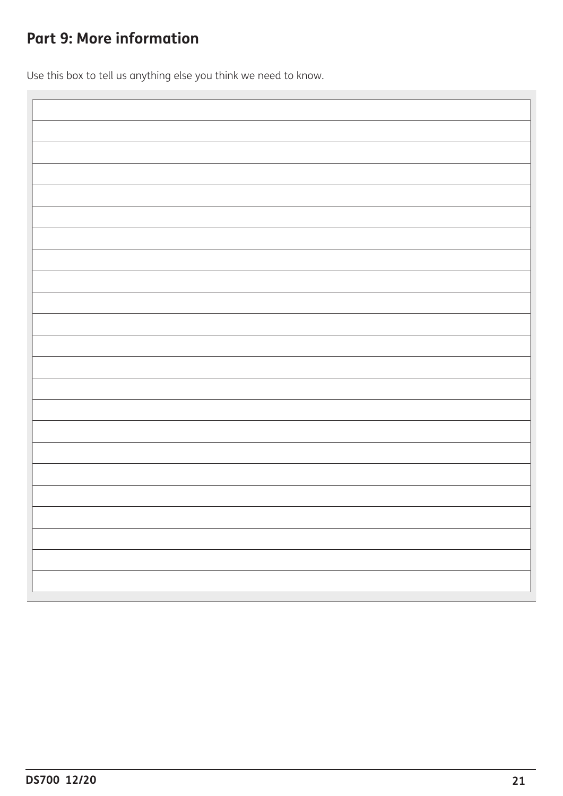# **Part 9: More information**

Use this box to tell us anything else you think we need to know.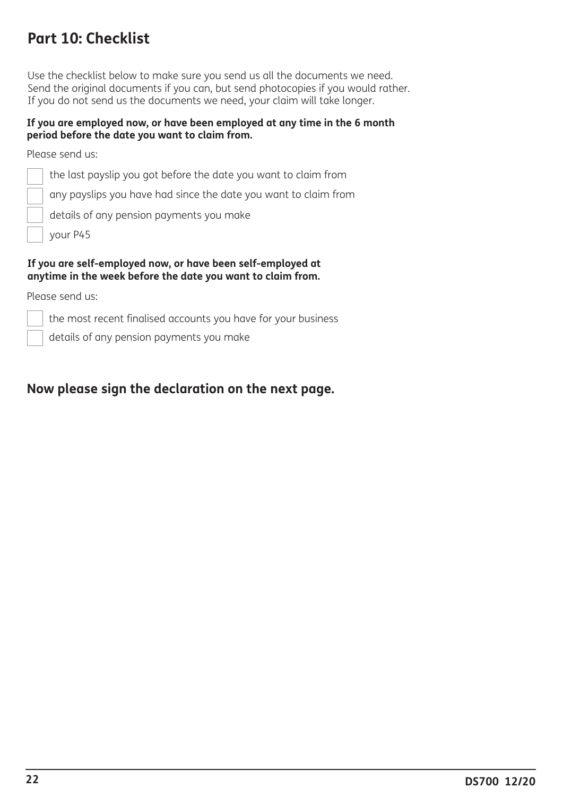# **Part 10: Checklist**

Use the checklist below to make sure you send us all the documents we need. Send the original documents if you can, but send photocopies if you would rather. If you do not send us the documents we need, your claim will take longer.

### **If you are employed now, or have been employed at any time in the 6 month period before the date you want to claim from.**

Please send us:

the last payslip you got before the date you want to claim from

any payslips you have had since the date you want to claim from

details of any pension payments you make

your P45

#### **If you are self-employed now, or have been self-employed at anytime in the week before the date you want to claim from.**

Please send us:

the most recent finalised accounts you have for your business

details of any pension payments you make

### **Now please sign the declaration on the next page.**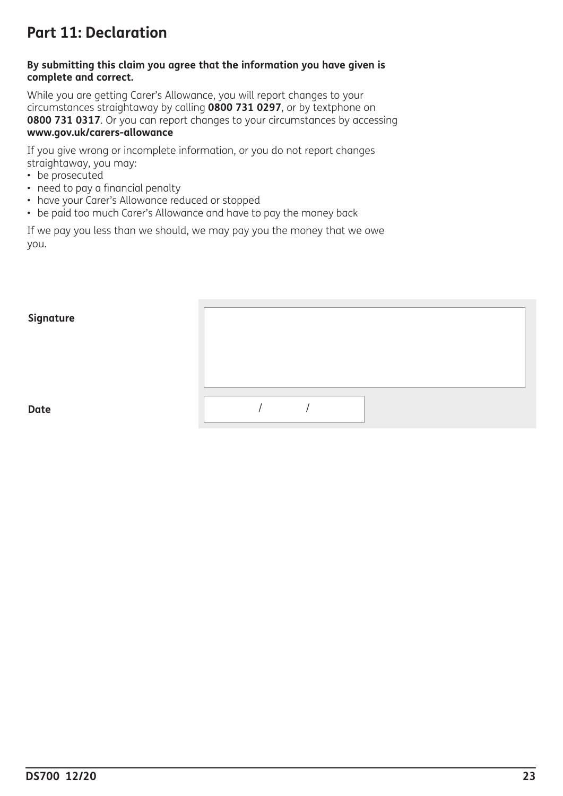# **Part 11: Declaration**

### **By submitting this claim you agree that the information you have given is complete and correct.**

While you are getting Carer's Allowance, you will report changes to your circumstances straightaway by calling **0800 731 0297**, or by textphone on **0800 731 0317**. Or you can report changes to your circumstances by accessing **www.gov.uk/carers-allowance**

If you give wrong or incomplete information, or you do not report changes straightaway, you may:

- be prosecuted
- need to pay a financial penalty
- have your Carer's Allowance reduced or stopped
- be paid too much Carer's Allowance and have to pay the money back

If we pay you less than we should, we may pay you the money that we owe you.

### **Signature**